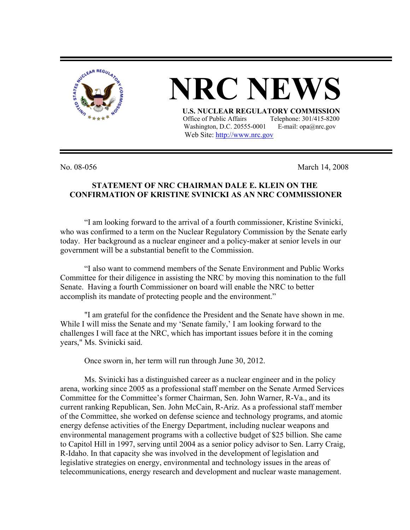

## **NRC NEW U.S. NUCLEAR REGULATORY COMMISSION** Office of Public Affairs Telephone: 301/415-8200 Washington, D.C. 20555-0001 E-mail:  $opa@nrc.gov$

Web Site: http://www.nrc.gov

No. 08-056 March 14, 2008

## **STATEMENT OF NRC CHAIRMAN DALE E. KLEIN ON THE CONFIRMATION OF KRISTINE SVINICKI AS AN NRC COMMISSIONER**

"I am looking forward to the arrival of a fourth commissioner, Kristine Svinicki, who was confirmed to a term on the Nuclear Regulatory Commission by the Senate early today. Her background as a nuclear engineer and a policy-maker at senior levels in our government will be a substantial benefit to the Commission.

"I also want to commend members of the Senate Environment and Public Works Committee for their diligence in assisting the NRC by moving this nomination to the full Senate. Having a fourth Commissioner on board will enable the NRC to better accomplish its mandate of protecting people and the environment."

"I am grateful for the confidence the President and the Senate have shown in me. While I will miss the Senate and my 'Senate family,' I am looking forward to the challenges I will face at the NRC, which has important issues before it in the coming years," Ms. Svinicki said.

Once sworn in, her term will run through June 30, 2012.

Ms. Svinicki has a distinguished career as a nuclear engineer and in the policy arena, working since 2005 as a professional staff member on the Senate Armed Services Committee for the Committee's former Chairman, Sen. John Warner, R-Va., and its current ranking Republican, Sen. John McCain, R-Ariz. As a professional staff member of the Committee, she worked on defense science and technology programs, and atomic energy defense activities of the Energy Department, including nuclear weapons and environmental management programs with a collective budget of \$25 billion. She came to Capitol Hill in 1997, serving until 2004 as a senior policy advisor to Sen. Larry Craig, R-Idaho. In that capacity she was involved in the development of legislation and legislative strategies on energy, environmental and technology issues in the areas of telecommunications, energy research and development and nuclear waste management.